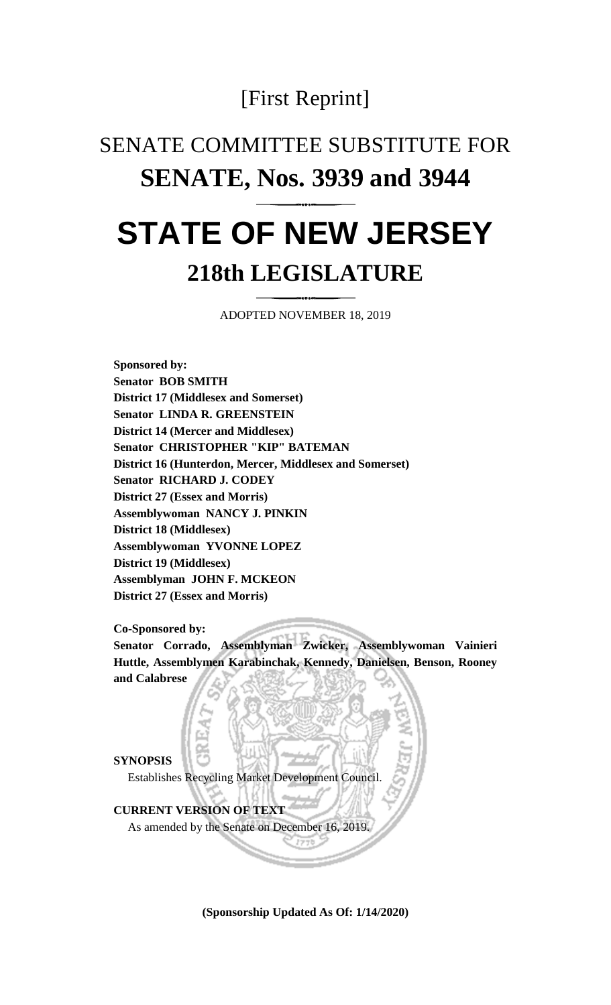## [First Reprint]

## SENATE COMMITTEE SUBSTITUTE FOR **SENATE, Nos. 3939 and 3944**

## **STATE OF NEW JERSEY 218th LEGISLATURE**

ADOPTED NOVEMBER 18, 2019

**Sponsored by: Senator BOB SMITH District 17 (Middlesex and Somerset) Senator LINDA R. GREENSTEIN District 14 (Mercer and Middlesex) Senator CHRISTOPHER "KIP" BATEMAN District 16 (Hunterdon, Mercer, Middlesex and Somerset) Senator RICHARD J. CODEY District 27 (Essex and Morris) Assemblywoman NANCY J. PINKIN District 18 (Middlesex) Assemblywoman YVONNE LOPEZ District 19 (Middlesex) Assemblyman JOHN F. MCKEON District 27 (Essex and Morris)**

**Co-Sponsored by:**

**Senator Corrado, Assemblyman Zwicker, Assemblywoman Vainieri Huttle, Assemblymen Karabinchak, Kennedy, Danielsen, Benson, Rooney and Calabrese**

**SYNOPSIS** Establishes Recycling Market Development Council.

## **CURRENT VERSION OF TEXT**

As amended by the Senate on December 16, 2019.

**(Sponsorship Updated As Of: 1/14/2020)**